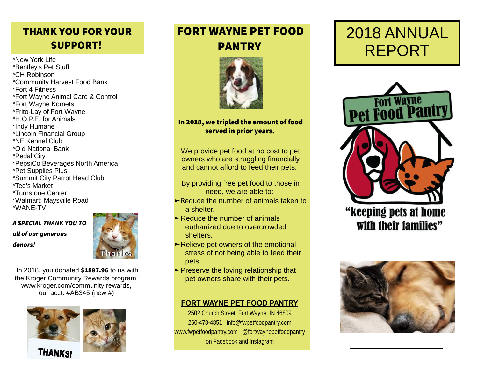## THANK YOU FOR YOUR SUPPORT!

\*New York Life \*Bentley's Pet Stuff \*CH Robinson \*Community Harvest Food Bank \*Fort 4 Fitness \*Fort Wayne Animal Care & Control \*Fort Wayne Komets \*Frito-Lay of Fort Wayne \*H.O.P.E. for Animals \*Indy Humane \*Lincoln Financial Group \*NE Kennel Club \*Old National Bank \*Pedal City \*PepsiCo Beverages North America \*Pet Supplies Plus \*Summit City Parrot Head Club \*Ted's Market \*Turnstone Center \*Walmart: Maysville Road \*WANE-TV

A SPECIAL THANK YOU TO all of our generous donors!



In 2018, you donated \$1887.96 to us with the Kroger Community Rewards program! www.kroger.com/community rewards, our acct: #AB345 (new #)



# FORT WAYNE PET FOOD PANTRY



#### In 2018, we tripled the amount of food served in prior years.

We provide pet food at no cost to pet owners who are struggling financially and cannot afford to feed their pets.

By providing free pet food to those in need, we are able to:

- ►Reduce the number of animals taken to a shelter.
- ►Reduce the number of animals euthanized due to overcrowded shelters.
- ►Relieve pet owners of the emotional stress of not being able to feed their pets.
- ►Preserve the loving relationship that pet owners share with their pets.

#### **FORT WAYNE PET FOOD PANTRY**

2502 Church Street, Fort Wayne, IN 46809 260-478-4851 info@fwpetfoodpantry.com www.fwpetfoodpantry.com @fortwaynepetfoodpantry on Facebook and Instagram

# 2018 ANNUAL REPORT



"keeping pets at home with their families"